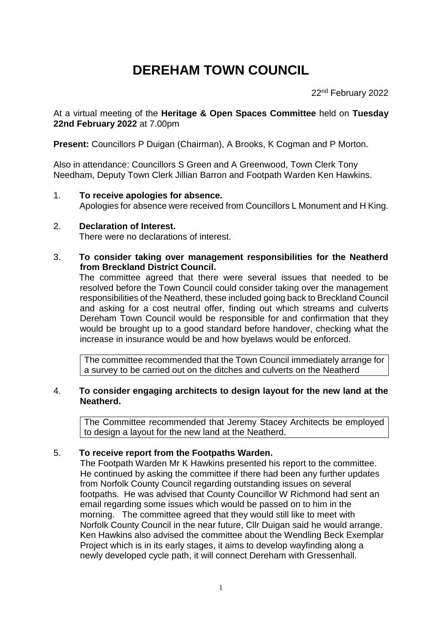# **DEREHAM TOWN COUNCIL**

22nd February 2022

At a virtual meeting of the **Heritage & Open Spaces Committee** held on **Tuesday 22nd February 2022** at 7.00pm

**Present:** Councillors P Duigan (Chairman), A Brooks, K Cogman and P Morton.

Also in attendance: Councillors S Green and A Greenwood, Town Clerk Tony Needham, Deputy Town Clerk Jillian Barron and Footpath Warden Ken Hawkins.

1. **To receive apologies for absence.** Apologies for absence were received from Councillors L Monument and H King.

#### 2. **Declaration of Interest.** There were no declarations of interest.

3. **To consider taking over management responsibilities for the Neatherd from Breckland District Council.**

The committee agreed that there were several issues that needed to be resolved before the Town Council could consider taking over the management responsibilities of the Neatherd, these included going back to Breckland Council and asking for a cost neutral offer, finding out which streams and culverts Dereham Town Council would be responsible for and confirmation that they would be brought up to a good standard before handover, checking what the increase in insurance would be and how byelaws would be enforced.

The committee recommended that the Town Council immediately arrange for a survey to be carried out on the ditches and culverts on the Neatherd

### 4. **To consider engaging architects to design layout for the new land at the Neatherd.**

The Committee recommended that Jeremy Stacey Architects be employed to design a layout for the new land at the Neatherd.

# 5. **To receive report from the Footpaths Warden.**

The Footpath Warden Mr K Hawkins presented his report to the committee. He continued by asking the committee if there had been any further updates from Norfolk County Council regarding outstanding issues on several footpaths. He was advised that County Councillor W Richmond had sent an email regarding some issues which would be passed on to him in the morning. The committee agreed that they would still like to meet with Norfolk County Council in the near future, Cllr Duigan said he would arrange. Ken Hawkins also advised the committee about the Wendling Beck Exemplar Project which is in its early stages, it aims to develop wayfinding along a newly developed cycle path, it will connect Dereham with Gressenhall.